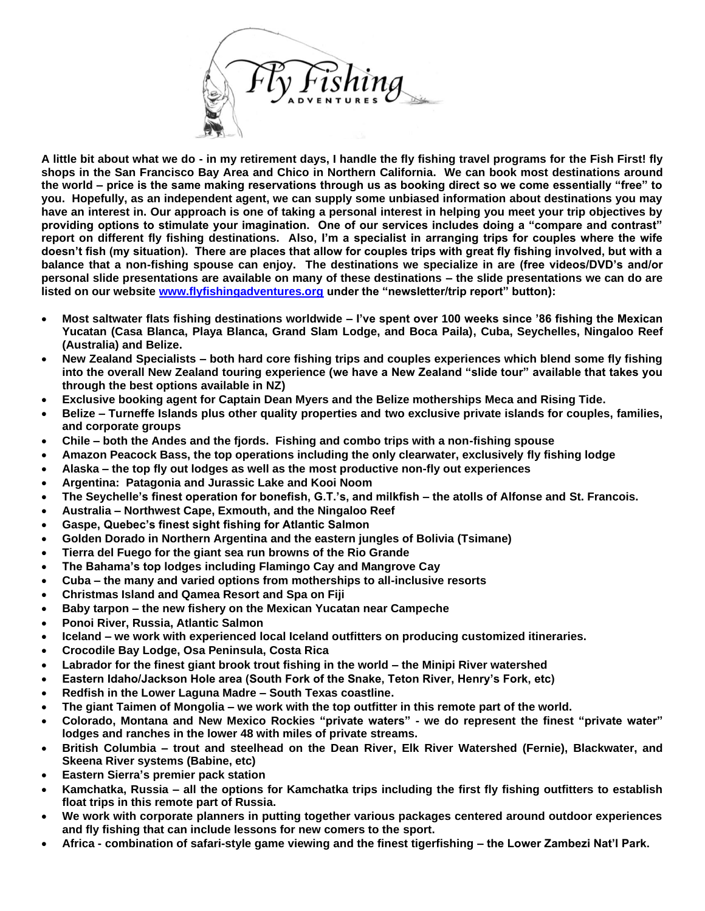

**A little bit about what we do - in my retirement days, I handle the fly fishing travel programs for the Fish First! fly shops in the San Francisco Bay Area and Chico in Northern California. We can book most destinations around the world – price is the same making reservations through us as booking direct so we come essentially "free" to you. Hopefully, as an independent agent, we can supply some unbiased information about destinations you may have an interest in. Our approach is one of taking a personal interest in helping you meet your trip objectives by providing options to stimulate your imagination. One of our services includes doing a "compare and contrast" report on different fly fishing destinations. Also, I'm a specialist in arranging trips for couples where the wife doesn't fish (my situation). There are places that allow for couples trips with great fly fishing involved, but with a balance that a non-fishing spouse can enjoy. The destinations we specialize in are (free videos/DVD's and/or personal slide presentations are available on many of these destinations – the slide presentations we can do are listed on our website [www.flyfishingadventures.org](http://www.flyfishingadventures.org/) under the "newsletter/trip report" button):**

- **Most saltwater flats fishing destinations worldwide – I've spent over 100 weeks since '86 fishing the Mexican Yucatan (Casa Blanca, Playa Blanca, Grand Slam Lodge, and Boca Paila), Cuba, Seychelles, Ningaloo Reef (Australia) and Belize.**
- **New Zealand Specialists – both hard core fishing trips and couples experiences which blend some fly fishing into the overall New Zealand touring experience (we have a New Zealand "slide tour" available that takes you through the best options available in NZ)**
- **Exclusive booking agent for Captain Dean Myers and the Belize motherships Meca and Rising Tide.**
- **Belize – Turneffe Islands plus other quality properties and two exclusive private islands for couples, families, and corporate groups**
- **Chile – both the Andes and the fjords. Fishing and combo trips with a non-fishing spouse**
- **Amazon Peacock Bass, the top operations including the only clearwater, exclusively fly fishing lodge**
- **Alaska – the top fly out lodges as well as the most productive non-fly out experiences**
- **Argentina: Patagonia and Jurassic Lake and Kooi Noom**
- **The Seychelle's finest operation for bonefish, G.T.'s, and milkfish – the atolls of Alfonse and St. Francois.**
- **Australia – Northwest Cape, Exmouth, and the Ningaloo Reef**
- **Gaspe, Quebec's finest sight fishing for Atlantic Salmon**
- **Golden Dorado in Northern Argentina and the eastern jungles of Bolivia (Tsimane)**
- **Tierra del Fuego for the giant sea run browns of the Rio Grande**
- **The Bahama's top lodges including Flamingo Cay and Mangrove Cay**
- **Cuba – the many and varied options from motherships to all-inclusive resorts**
- **Christmas Island and Qamea Resort and Spa on Fiji**
- **Baby tarpon – the new fishery on the Mexican Yucatan near Campeche**
- **Ponoi River, Russia, Atlantic Salmon**
- **Iceland – we work with experienced local Iceland outfitters on producing customized itineraries.**
- **Crocodile Bay Lodge, Osa Peninsula, Costa Rica**
- **Labrador for the finest giant brook trout fishing in the world – the Minipi River watershed**
- **Eastern Idaho/Jackson Hole area (South Fork of the Snake, Teton River, Henry's Fork, etc)**
- **Redfish in the Lower Laguna Madre – South Texas coastline.**
- **The giant Taimen of Mongolia – we work with the top outfitter in this remote part of the world.**
- **Colorado, Montana and New Mexico Rockies "private waters" - we do represent the finest "private water" lodges and ranches in the lower 48 with miles of private streams.**
- **British Columbia – trout and steelhead on the Dean River, Elk River Watershed (Fernie), Blackwater, and Skeena River systems (Babine, etc)**
- **Eastern Sierra's premier pack station**
- **Kamchatka, Russia – all the options for Kamchatka trips including the first fly fishing outfitters to establish float trips in this remote part of Russia.**
- **We work with corporate planners in putting together various packages centered around outdoor experiences and fly fishing that can include lessons for new comers to the sport.**
- **Africa - combination of safari-style game viewing and the finest tigerfishing – the Lower Zambezi Nat'l Park.**